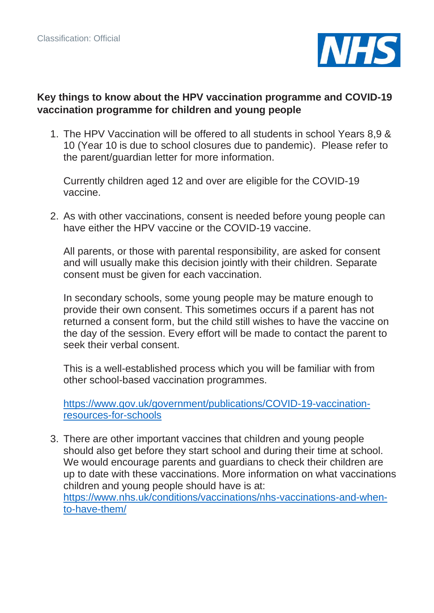

## **Key things to know about the HPV vaccination programme and COVID-19 vaccination programme for children and young people**

1. The HPV Vaccination will be offered to all students in school Years 8,9 & 10 (Year 10 is due to school closures due to pandemic). Please refer to the parent/guardian letter for more information.

Currently children aged 12 and over are eligible for the COVID-19 vaccine.

2. As with other vaccinations, consent is needed before young people can have either the HPV vaccine or the COVID-19 vaccine.

All parents, or those with parental responsibility, are asked for consent and will usually make this decision jointly with their children. Separate consent must be given for each vaccination.

In secondary schools, some young people may be mature enough to provide their own consent. This sometimes occurs if a parent has not returned a consent form, but the child still wishes to have the vaccine on the day of the session. Every effort will be made to contact the parent to seek their verbal consent.

This is a well-established process which you will be familiar with from other school-based vaccination programmes.

[https://www.gov.uk/government/publications/COVID-19-vaccination](https://www.gov.uk/government/publications/covid-19-vaccination-resources-for-schools)[resources-for-schools](https://www.gov.uk/government/publications/covid-19-vaccination-resources-for-schools)

3. There are other important vaccines that children and young people should also get before they start school and during their time at school. We would encourage parents and guardians to check their children are up to date with these vaccinations. More information on what vaccinations children and young people should have is at: [https://www.nhs.uk/conditions/vaccinations/nhs-vaccinations-and-when](https://www.nhs.uk/conditions/vaccinations/nhs-vaccinations-and-when-to-have-them/)[to-have-them/](https://www.nhs.uk/conditions/vaccinations/nhs-vaccinations-and-when-to-have-them/)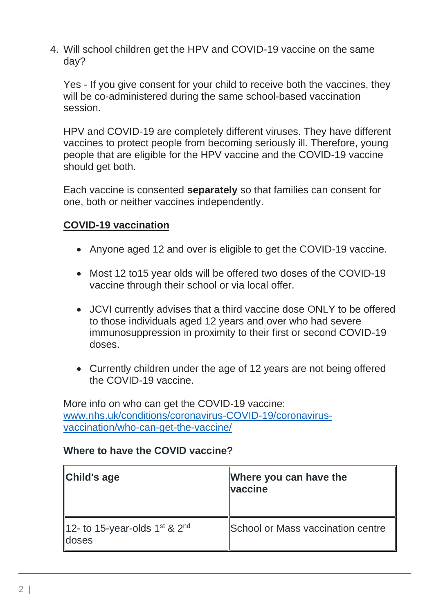4. Will school children get the HPV and COVID-19 vaccine on the same day?

Yes - If you give consent for your child to receive both the vaccines, they will be co-administered during the same school-based vaccination session.

HPV and COVID-19 are completely different viruses. They have different vaccines to protect people from becoming seriously ill. Therefore, young people that are eligible for the HPV vaccine and the COVID-19 vaccine should get both.

Each vaccine is consented **separately** so that families can consent for one, both or neither vaccines independently.

# **COVID-19 vaccination**

- Anyone aged 12 and over is eligible to get the COVID-19 vaccine.
- Most 12 to 15 year olds will be offered two doses of the COVID-19 vaccine through their school or via local offer.
- JCVI currently advises that a third vaccine dose ONLY to be offered to those individuals aged 12 years and over who had severe immunosuppression in proximity to their first or second COVID-19 doses.
- Currently children under the age of 12 years are not being offered the COVID-19 vaccine.

More info on who can get the COVID-19 vaccine: [www.nhs.uk/conditions/coronavirus-COVID-19/coronavirus](http://www.nhs.uk/conditions/coronavirus-covid-19/coronavirus-vaccination/who-can-get-the-vaccine/)[vaccination/who-can-get-the-vaccine/](http://www.nhs.uk/conditions/coronavirus-covid-19/coronavirus-vaccination/who-can-get-the-vaccine/)

## **Where to have the COVID vaccine?**

| Child's age                                                           | Where you can have the<br><b>Vaccine</b> |
|-----------------------------------------------------------------------|------------------------------------------|
| 12- to 15-year-olds $1^{\text{st}}$ & $2^{\text{nd}}$<br><b>doses</b> | <b>School or Mass vaccination centre</b> |